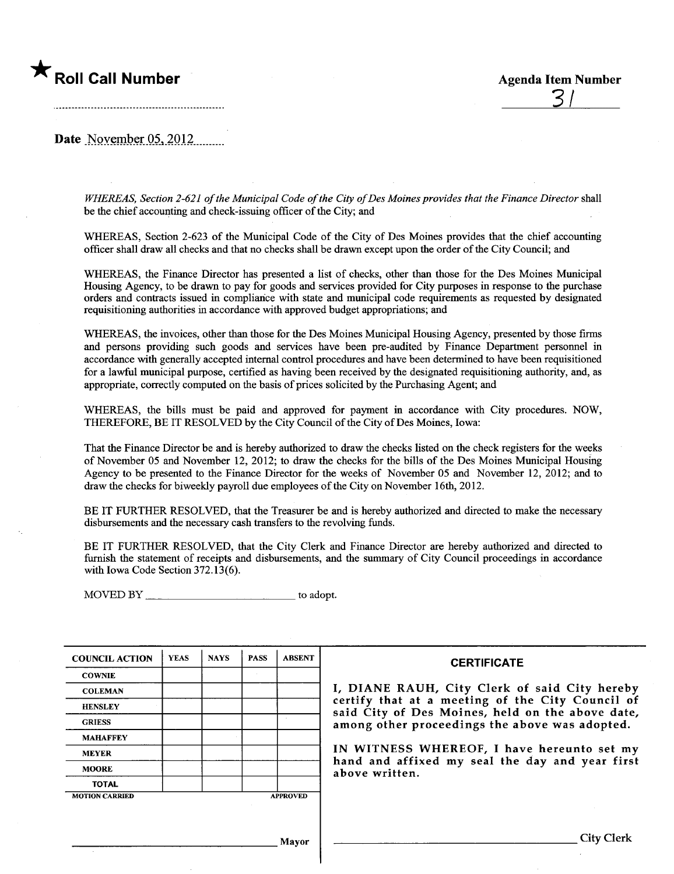

Date November  $05, 2012$ 

WHEREAS, Section 2-621 of the Municipal Code of the City of Des Moines provides that the Finance Director shall be the chief accounting and check-issuing officer of the City; and

WHEREAS, Section 2-623 of the Municipal Code of the City of Des Moines provides that the chief accounting officer shall draw all checks and that no checks shall be drawn except upon the order of the City Council; and

WHEREAS, the Finance Director has presented a list of checks, other than those for the Des Moines Municipal Housing Agency, to be drawn to pay for goods and services provided for City puroses in response to the purchase orders and contracts issued in compliarce with state and muncipal code requirements as requested by designated requisitioning authorities in accordance with approved budget appropriations; and

WHEREAS, the invoices, other than those for the Des Moines Muncipal Housing Agency, presented by those firms and persons providing such goods and services have been pre-audited by Finance Department personnel in accordance with generally accepted internal control procedures and have been determned to have been requisitioned for a lawful municipal purpose, certified as having been received by the designated requisitioning authority, and, as appropriate, correctly computed on the basis of prices solicited by the Purchasing Agent; and

WHEREAS, the bils must be paid and approved for payment in accordance with City procedures. NOW, THEREFORE, BE IT RESOLVED by the City Council of the City of Des Moines, Iowa:

That the Finance Director be and is hereby authorized to draw the checks listed on the check registers for the weeks of November 05 and November 12,2012; to draw the checks for the bils of the Des Moines Municipal Housing Agency to be presented to the Finance Director for the weeks of November 05 and November 12, 2012; and to draw the checks for biweekly payroll due employees of the City on November 16th 2012.

BE IT FURTHER RESOLVED, that the Treasurer be and is hereby authorized and directed to make the necessary disbursements and the necessary cash transfers to the revolving funds.

BE IT FURTHER RESOLVED, that the City Clerk and Finance Director are hereby authorized and directed to furnish the statement of receipts and disbursements, and the summary of City Council proceedings in accordance with Iowa Code Section 372.13(6).

 $MOVED BY$   $\qquad \qquad$  to adopt.

| <b>COUNCIL ACTION</b> | <b>YEAS</b> | <b>NAYS</b> | <b>PASS</b> | <b>ABSENT</b>   | <b>CERTIFICATE</b>                                                                                   |
|-----------------------|-------------|-------------|-------------|-----------------|------------------------------------------------------------------------------------------------------|
| <b>COWNIE</b>         |             |             |             |                 |                                                                                                      |
| <b>COLEMAN</b>        |             |             |             |                 | I, DIANE RAUH, City Clerk of said City hereby                                                        |
| <b>HENSLEY</b>        |             |             |             |                 | certify that at a meeting of the City Council of<br>said City of Des Moines, held on the above date, |
| <b>GRIESS</b>         |             |             |             |                 | among other proceedings the above was adopted.                                                       |
| <b>MAHAFFEY</b>       |             |             |             |                 |                                                                                                      |
| <b>MEYER</b>          |             |             |             |                 | IN WITNESS WHEREOF, I have hereunto set my                                                           |
| <b>MOORE</b>          |             |             |             |                 | hand and affixed my seal the day and year first<br>above written.                                    |
| <b>TOTAL</b>          |             |             |             |                 |                                                                                                      |
| <b>MOTION CARRIED</b> |             |             |             | <b>APPROVED</b> |                                                                                                      |
|                       |             |             |             |                 |                                                                                                      |
|                       |             |             |             |                 |                                                                                                      |
|                       |             |             |             | Mayor           | <b>City Clerk</b>                                                                                    |
|                       |             |             |             |                 |                                                                                                      |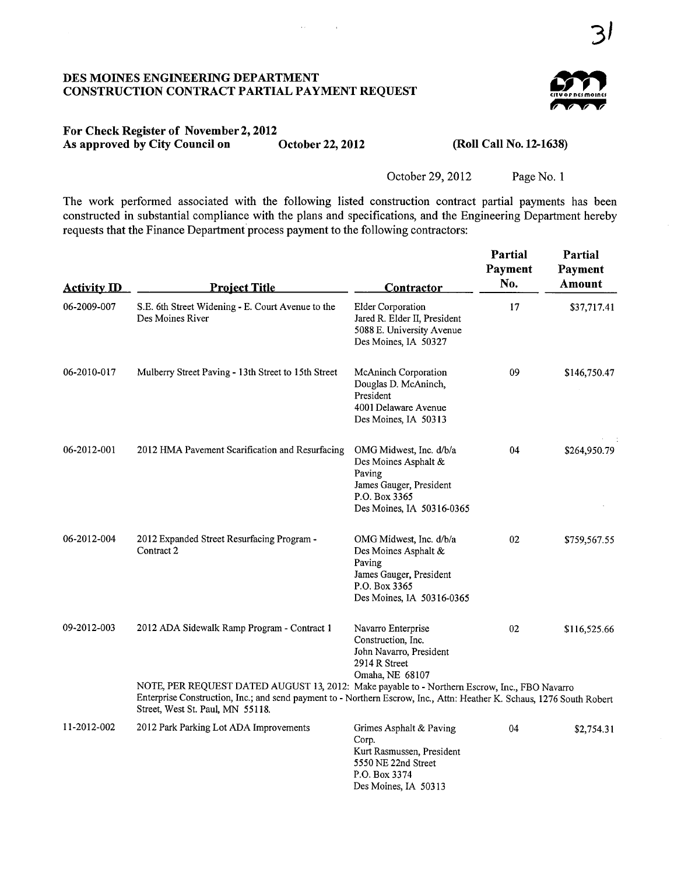#### DES MOINES ENGINEERING DEPARTMENT CONSTRUCTION CONTRACT PARTIAL PAYMENT REQUEST

 $\bar{t}$  .



#### For Check Register of November 2, 2012<br>As approved by City Council on October 22, 2012 As approved by City Council on

(Roll Call No. 12-1638)

October 29,2012 Page No.1

The work performed associated with the following listed construction contract partial payments has been constructed in substantial compliance with the plans and specifications, and the Engineering Department hereby requests that the Finance Department process payment to the following contractors:

| <b>Activity ID</b> | <b>Project Title</b>                                                                                                                                                                                                                                        | <b>Contractor</b>                                                                                                                  | <b>Partial</b><br>Payment<br>No. | Partial<br>Payment<br>Amount |
|--------------------|-------------------------------------------------------------------------------------------------------------------------------------------------------------------------------------------------------------------------------------------------------------|------------------------------------------------------------------------------------------------------------------------------------|----------------------------------|------------------------------|
| 06-2009-007        | S.E. 6th Street Widening - E. Court Avenue to the<br>Des Moines River                                                                                                                                                                                       | <b>Elder Corporation</b><br>Jared R. Elder II, President<br>5088 E. University Avenue<br>Des Moines, IA 50327                      | 17                               | \$37,717.41                  |
| 06-2010-017        | Mulberry Street Paving - 13th Street to 15th Street                                                                                                                                                                                                         | <b>McAninch Corporation</b><br>Douglas D. McAninch,<br>President<br>4001 Delaware Avenue<br>Des Moines, IA 50313                   | 09                               | \$146,750.47                 |
| 06-2012-001        | 2012 HMA Pavement Scarification and Resurfacing                                                                                                                                                                                                             | OMG Midwest, Inc. d/b/a<br>Des Moines Asphalt &<br>Paving<br>James Gauger, President<br>P.O. Box 3365<br>Des Moines, IA 50316-0365 | 04                               | \$264,950.79                 |
| 06-2012-004        | 2012 Expanded Street Resurfacing Program -<br>Contract 2                                                                                                                                                                                                    | OMG Midwest, Inc. d/b/a<br>Des Moines Asphalt &<br>Paving<br>James Gauger, President<br>P.O. Box 3365<br>Des Moines, IA 50316-0365 | 02                               | \$759,567.55                 |
| 09-2012-003        | 2012 ADA Sidewalk Ramp Program - Contract 1                                                                                                                                                                                                                 | Navarro Enterprise<br>Construction, Inc.<br>John Navarro, President<br>2914 R Street<br>Omaha, NE 68107                            | 02                               | \$116,525.66                 |
|                    | NOTE, PER REQUEST DATED AUGUST 13, 2012: Make payable to - Northern Escrow, Inc., FBO Navarro<br>Enterprise Construction, Inc.; and send payment to - Northern Escrow, Inc., Attn: Heather K. Schaus, 1276 South Robert<br>Street, West St. Paul, MN 55118. |                                                                                                                                    |                                  |                              |
| 11-2012-002        | 2012 Park Parking Lot ADA Improvements                                                                                                                                                                                                                      | Grimes Asphalt & Paving<br>Corp.<br>Kurt Rasmussen, President<br>5550 NE 22nd Street<br>P.O. Box 3374<br>Des Moines, IA 50313      | 04                               | \$2,754.31                   |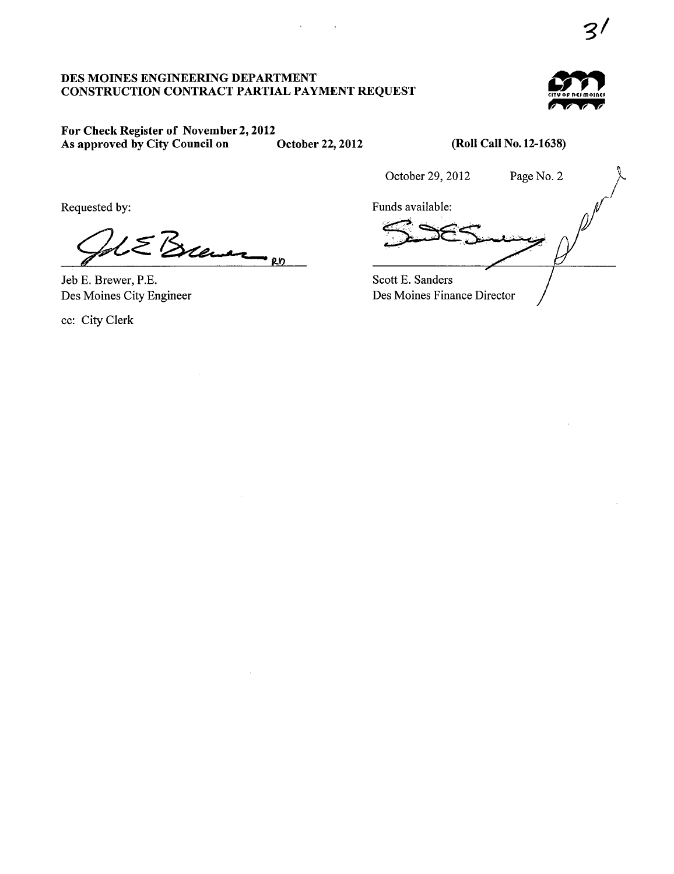# DES MOINES ENGINEERING DEPARTMENT<br>CONSTRUCTION CONTRACT PARTIAL PAYMENT REQUEST



# For Check Register of November 2,2012 As approved by City Council on October 22, 2012

(Roll Call No. 12-1638)

October 29,2012 Page No.2

Requested by:

 $\epsilon_{\text{B}}$ 

Jeb E. Brewer, P.E. Des Moines City Engineer

cc: City Clerk

Funds available: Scott E. Sanders

Des Moines Finance Director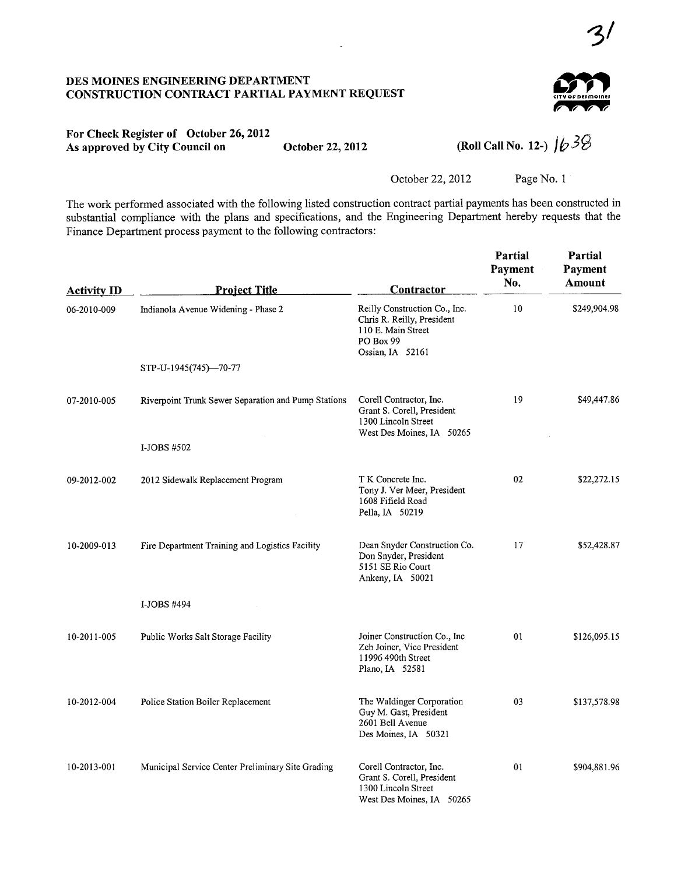## DES MOINES ENGINEERING DEPARTMENT CONSTRUCTION CONTRACT PARTIAL PAYMENT REQUEST



 $3<sup>1</sup>$ 

## For Check Register of October 26, 2012 As approved by City Council on October 22, 2012

(Roll Call No. 12-)  $1/39$ 

October 22,2012 Page No. I

The work performed associated with the following listed construction contract partial payments has been constructed in substantial compliance with the plans and specifications, and the Engineering Department hereby requests that the Finance Department process payment to the following contractors:

 $\overline{a}$ 

| <b>Activity ID</b> | <b>Project Title</b>                                | Contractor                                                                                                         | <b>Partial</b><br>Payment<br>No. | <b>Partial</b><br>Payment<br>Amount |
|--------------------|-----------------------------------------------------|--------------------------------------------------------------------------------------------------------------------|----------------------------------|-------------------------------------|
| 06-2010-009        | Indianola Avenue Widening - Phase 2                 | Reilly Construction Co., Inc.<br>Chris R. Reilly, President<br>110 E. Main Street<br>PO Box 99<br>Ossian, IA 52161 | 10                               | \$249,904.98                        |
|                    | STP-U-1945(745)-70-77                               |                                                                                                                    |                                  |                                     |
| 07-2010-005        | Riverpoint Trunk Sewer Separation and Pump Stations | Corell Contractor, Inc.<br>Grant S. Corell, President<br>1300 Lincoln Street<br>West Des Moines, IA 50265          | 19                               | \$49,447.86                         |
|                    | I-JOBS #502                                         |                                                                                                                    |                                  |                                     |
| 09-2012-002        | 2012 Sidewalk Replacement Program                   | T K Concrete Inc.<br>Tony J. Ver Meer, President<br>1608 Fifield Road<br>Pella, IA 50219                           | 02                               | \$22,272.15                         |
| 10-2009-013        | Fire Department Training and Logistics Facility     | Dean Snyder Construction Co.<br>Don Snyder, President<br>5151 SE Rio Court<br>Ankeny, IA 50021                     | 17                               | \$52,428.87                         |
|                    | I-JOBS #494                                         |                                                                                                                    |                                  |                                     |
| 10-2011-005        | Public Works Salt Storage Facility                  | Joiner Construction Co., Inc<br>Zeb Joiner, Vice President<br>11996 490th Street<br>Plano, IA 52581                | 01                               | \$126,095.15                        |
| 10-2012-004        | Police Station Boiler Replacement                   | The Waldinger Corporation<br>Guy M. Gast, President<br>2601 Bell Avenue<br>Des Moines, IA 50321                    | 03                               | \$137,578.98                        |
| 10-2013-001        | Municipal Service Center Preliminary Site Grading   | Corell Contractor, Inc.<br>Grant S. Corell, President<br>1300 Lincoln Street<br>West Des Moines, IA 50265          | 01                               | \$904,881.96                        |